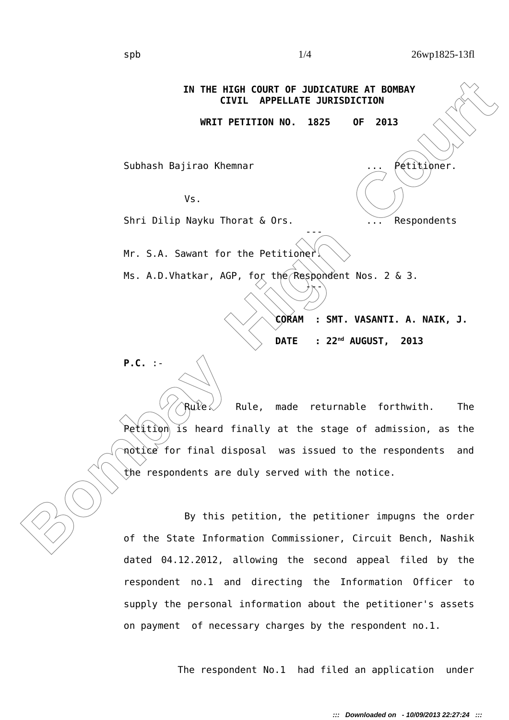**ENTRE THE NET COURT OF SUBARCHER AT BOMBAY**<br>
WRIT PETITION NO. 1825 OF 2013<br>
Subhash Bajirao Khemmar<br>
Ws.<br>
Shri Dilip Nayku Thorat & Ors.<br>
Mr. S.A. Sawant for the Petitioner<br>
Ms. A.D.Vhatkar, AGP, for the Response Nos. 2 **IN THE HIGH COURT OF JUDICATURE AT BOMBAY CIVIL APPELLATE JURISDICTION WRIT PETITION NO. 1825 OF 2013** Subhash Bajirao Khemnar ... Petitioner. Vs. Shri Dilip Nayku Thorat & Ors. ... Respondents --- Mr. S.A. Sawant for the Petitioner. Ms. A.D. Vhatkar, AGP, for the Respondent Nos. 2 & 3.  $\lambda_{\mathcal{N}}$ **CORAM : SMT. VASANTI. A. NAIK, J. DATE : 22nd AUGUST, 2013 P.C.** :- Rule $\swarrow$  Rule, made returnable forthwith. The

 $P$ etition is heard finally at the stage of admission, as the notice for final disposal was issued to the respondents and the respondents are duly served with the notice.

By this petition, the petitioner impugns the order of the State Information Commissioner, Circuit Bench, Nashik dated 04.12.2012, allowing the second appeal filed by the respondent no.1 and directing the Information Officer to supply the personal information about the petitioner's assets on payment of necessary charges by the respondent no.1.

The respondent No.1 had filed an application under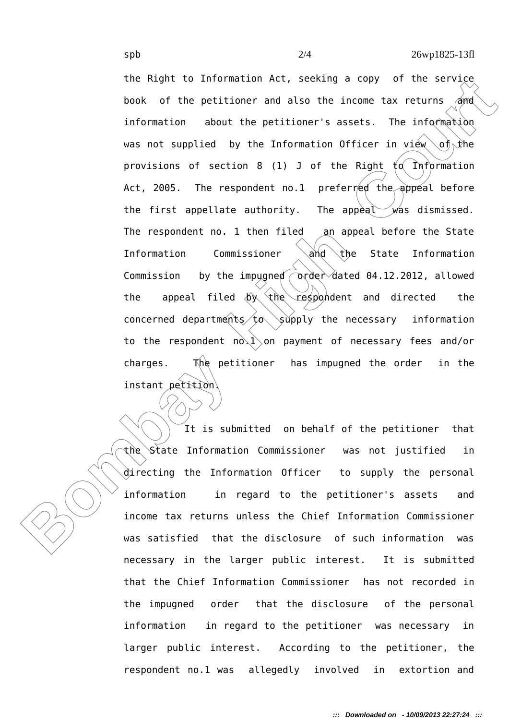The Kington of the pertitioner and also be the pertitions and information observed information about the pertitioner's assests. The information was not supplied by the Information of ticer in view of the provisions of sect the Right to Information Act, seeking a copy of the service book of the petitioner and also the income tax returns  $\alpha$ nd information about the petitioner's assets. The information was not supplied by the Information Officer in view  $\sim$ of the provisions of section 8 (1) J of the Right  $f \circ f$  Information Act, 2005. The respondent no.1 preferred the appeal before the first appellate authority. The appeal  $\mathcal{W}$  was dismissed. The respondent no. 1 then filed an appeal before the State Information Commissioner  $\hat{\mathcal{A}}$  (the State Information Commission by the impugned  $\overline{\text{order}}$  dated 04.12.2012, allowed the appeal filed  $\left(\frac{b}{c}\right)^2$  the respondent and directed the concerned departments  $to$  supply the necessary information to the respondent  $no\&1\&on$  payment of necessary fees and/or charges. The petitioner has impugned the order in the instant petition.

It is submitted on behalf of the petitioner that the State Information Commissioner was not justified in directing the Information Officer to supply the personal information in regard to the petitioner's assets and income tax returns unless the Chief Information Commissioner was satisfied that the disclosure of such information was necessary in the larger public interest. It is submitted that the Chief Information Commissioner has not recorded in the impugned order that the disclosure of the personal information in regard to the petitioner was necessary in larger public interest. According to the petitioner, the respondent no.1 was allegedly involved in extortion and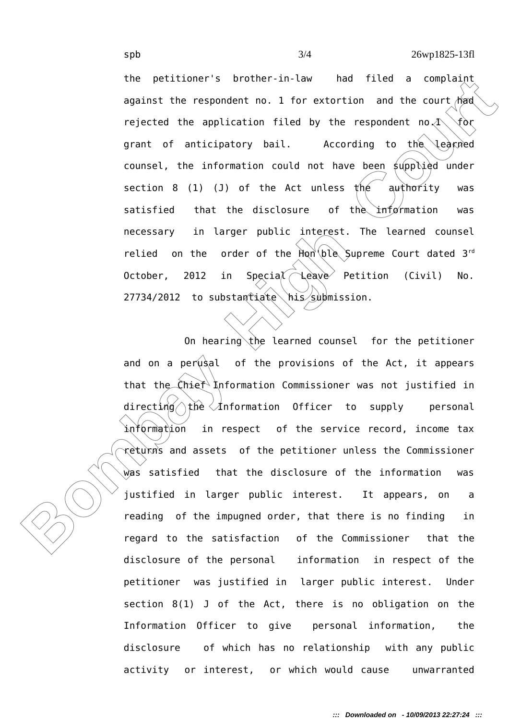The pericular is order in the criticity and the court that period and the court of energy restected the application filed by the respondent no. A for grant of anticipatory bail. According to the leaping coursel, the inform the petitioner's brother-in-law had filed a complaint against the respondent no. 1 for extortion and the court  $\wedge$  had rejected the application filed by the respondent no.1 for grant of anticipatory bail. According to the learned counsel, the information could not have been supplied under section 8 (1) (J) of the Act unless the authority was satisfied that the disclosure of the information was necessary in larger public interest. The learned counsel relied on the order of the  $Hom(ble)$  Supreme Court dated 3<sup>rd</sup> October, 2012 in Special  $\triangle$ eave Petition (Civil) No.  $27734/2012$  to substantiate his submission.

On hearing the learned counsel for the petitioner and on a perusal of the provisions of the Act, it appears that the  $\hat{\zeta}$  hief Information Commissioner was not justified in directing the  $\angle$ Information Officer to supply personal information in respect of the service record, income tax returns and assets of the petitioner unless the Commissioner was satisfied that the disclosure of the information was justified in larger public interest. It appears, on a reading of the impugned order, that there is no finding in regard to the satisfaction of the Commissioner that the disclosure of the personal information in respect of the petitioner was justified in larger public interest. Under section 8(1) J of the Act, there is no obligation on the Information Officer to give personal information, the disclosure of which has no relationship with any public activity or interest, or which would cause unwarranted